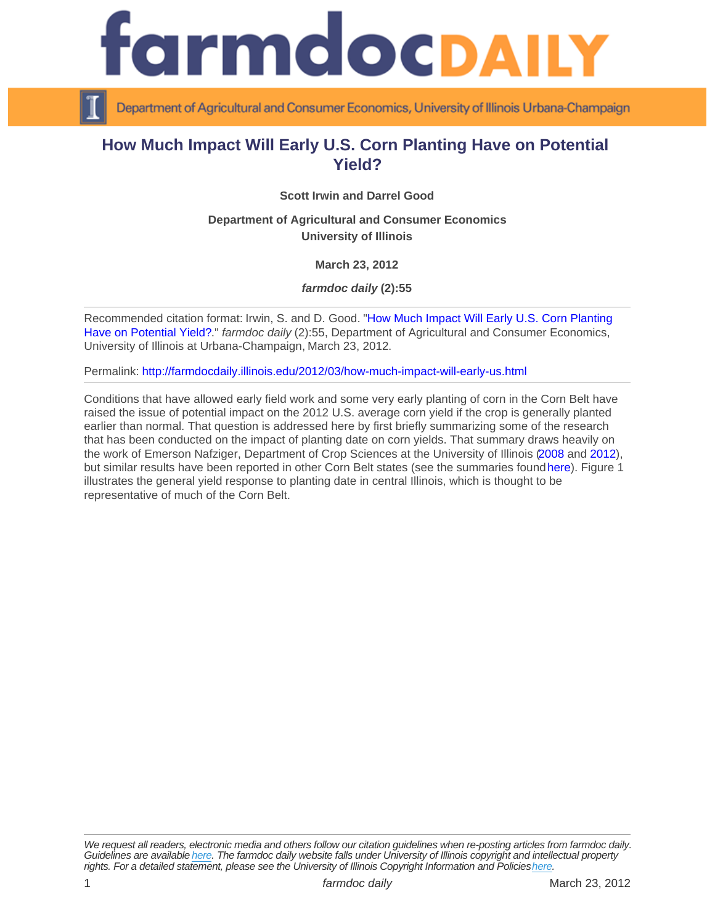## How Much Impact Will Early U.S. Corn Planting Have on Potential Yield?

Scott Irwin and Darrel Good

Department of Agricultural and Consumer Economics University of Illinois

March 23, 2012

farmdoc daily (2):55

Recommended citation format: Irwin, S. and D. Good. "[How Much Impact Will Early U.S. Corn Planting](http://farmdocdaily.illinois.edu/2012/03/how-much-impact-will-early-us.html)  [Have on Potential Yield?](http://farmdocdaily.illinois.edu/2012/03/how-much-impact-will-early-us.html)." farmdoc daily (2):55, Department of Agricultural and Consumer Economics, University of Illinois at Urbana-Champaign, March 23, 2012.

Permalink:<http://farmdocdaily.illinois.edu/2012/03/how-much-impact-will-early-us.html>

Conditions that have allowed early field work and some very early planting of corn in the Corn Belt have raised the issue of potential impact on the 2012 U.S. average corn yield if the crop is generally planted earlier than normal. That question is addressed here by first briefly summarizing some of the research that has been conducted on the impact of planting date on corn yields. That summary draws heavily on the work of Emerson Nafziger, Department of Crop Sciences at the University of Illinois [\(2008](http://bulletin.ipm.illinois.edu/article.php?id=890) and [2012\)](http://bulletin.ipm.illinois.edu/article.php?id=1594), but similar results have been reported in other Corn Belt states (see the summaries found [here\)](http://www.agweb.com/article/late_planting_dates_can_whittle_down_corn_yields/). Figure 1 illustrates the general yield response to planting date in central Illinois, which is thought to be representative of much of the Corn Belt.

We request all readers, electronic media and others follow our citation guidelines when re-posting articles from farmdoc daily. Guidelines are available [here](http://farmdocdaily.illinois.edu/citationguide.html). The farmdoc daily website falls under University of Illinois copyright and intellectual property rights. For a detailed statement, please see the University of Illinois Copyright Information and Policies [here.](https://techservices.illinois.edu/office-cio)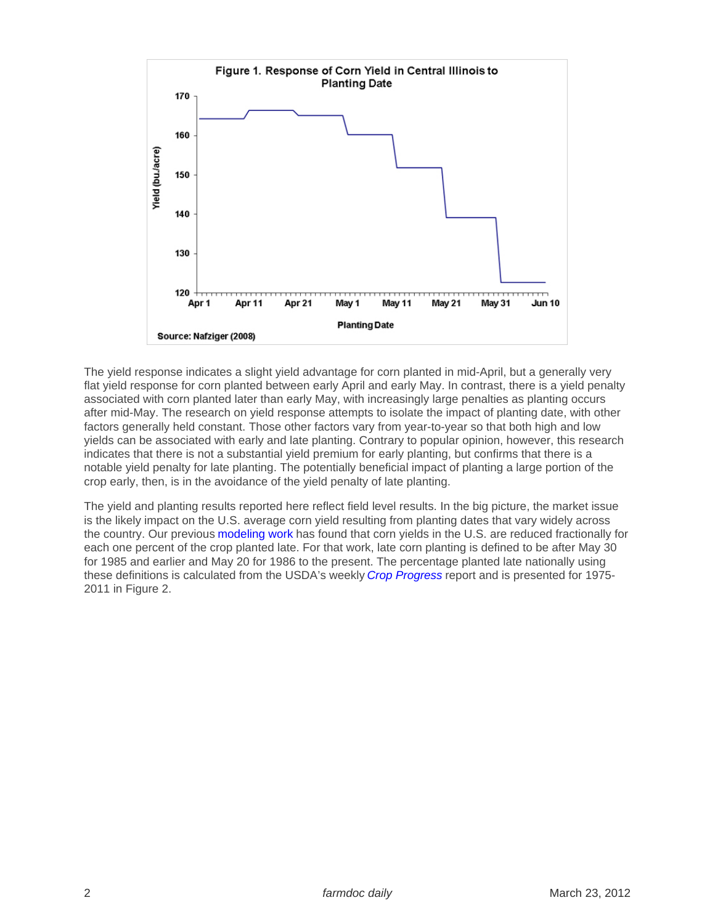The yield response indicates a slight yield advantage for corn planted in mid-April, but a generally very flat yield response for corn planted between early April and early May. In contrast, there is a yield penalty associated with corn planted later than early May, with increasingly large penalties as planting occurs after mid-May. The research on yield response attempts to isolate the impact of planting date, with other factors generally held constant. Those other factors vary from year-to-year so that both high and low yields can be associated with early and late planting. Contrary to popular opinion, however, this research indicates that there is not a substantial yield premium for early planting, but confirms that there is a notable yield penalty for late planting. The potentially beneficial impact of planting a large portion of the crop early, then, is in the avoidance of the yield penalty of late planting.

The yield and planting results reported here reflect field level results. In the big picture, the market issue is the likely impact on the U.S. average corn yield resulting from planting dates that vary widely across the country. Our previous [modeling work](http://www.farmdoc.illinois.edu/marketing/mobr/mobr_10-01/mobr_10-01.pdf) has found that corn yields in the U.S. are reduced fractionally for each one percent of the crop planted late. For that work, late corn planting is defined to be after May 30 for 1985 and earlier and May 20 for 1986 to the present. The percentage planted late nationally using these definitions is calculated from the USDA's weekly [Crop Progress](http://usda.mannlib.cornell.edu/MannUsda/viewDocumentInfo.do?documentID=1048) report and is presented for 1975- 2011 in Figure 2.